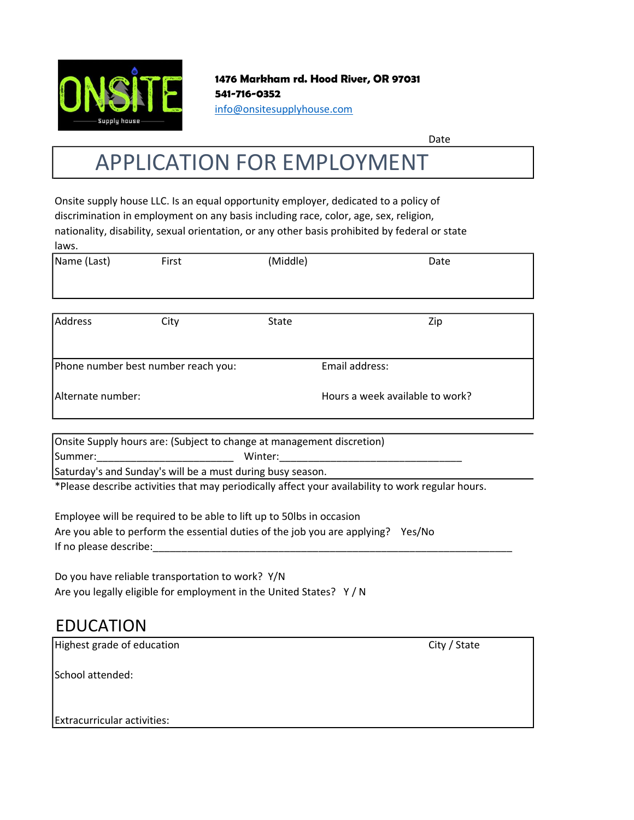

1476 Markham rd. Hood River, OR 97031 541-716-0352 info@onsitesupplyhouse.com

Date

# APPLICATION FOR EMPLOYMENT

Onsite supply house LLC. Is an equal opportunity employer, dedicated to a policy of discrimination in employment on any basis including race, color, age, sex, religion, nationality, disability, sexual orientation, or any other basis prohibited by federal or state laws.

| Name (Last)                         | First | (Middle) | Date                            |  |
|-------------------------------------|-------|----------|---------------------------------|--|
|                                     |       |          |                                 |  |
|                                     |       |          |                                 |  |
| <b>Address</b>                      | City  | State    | Zip                             |  |
|                                     |       |          |                                 |  |
| Phone number best number reach you: |       |          | Email address:                  |  |
| Alternate number:                   |       |          | Hours a week available to work? |  |

Onsite Supply hours are: (Subject to change at management discretion) Summer:\_\_\_\_\_\_\_\_\_\_\_\_\_\_\_\_\_\_\_\_\_\_\_\_ Winter:\_\_\_\_\_\_\_\_\_\_\_\_\_\_\_\_\_\_\_\_\_\_\_\_\_\_\_\_\_\_\_\_

Saturday's and Sunday's will be a must during busy season.

\*Please describe activities that may periodically affect your availability to work regular hours.

Employee will be required to be able to lift up to 50lbs in occasion Are you able to perform the essential duties of the job you are applying? Yes/No If no please describe:

Do you have reliable transportation to work? Y/N Are you legally eligible for employment in the United States? Y / N

### EDUCATION

| Highest grade of education  | City / State |
|-----------------------------|--------------|
| School attended:            |              |
|                             |              |
| Extracurricular activities: |              |